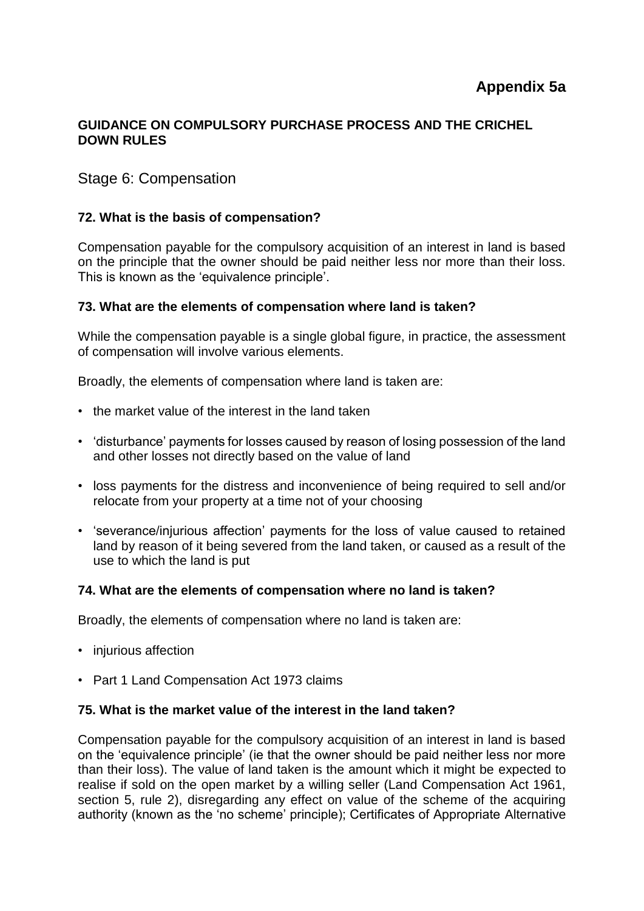## **GUIDANCE ON COMPULSORY PURCHASE PROCESS AND THE CRICHEL DOWN RULES**

# Stage 6: Compensation

## **72. What is the basis of compensation?**

Compensation payable for the compulsory acquisition of an interest in land is based on the principle that the owner should be paid neither less nor more than their loss. This is known as the 'equivalence principle'.

#### **73. What are the elements of compensation where land is taken?**

While the compensation payable is a single global figure, in practice, the assessment of compensation will involve various elements.

Broadly, the elements of compensation where land is taken are:

- the market value of the interest in the land taken
- 'disturbance' payments for losses caused by reason of losing possession of the land and other losses not directly based on the value of land
- loss payments for the distress and inconvenience of being required to sell and/or relocate from your property at a time not of your choosing
- 'severance/injurious affection' payments for the loss of value caused to retained land by reason of it being severed from the land taken, or caused as a result of the use to which the land is put

#### **74. What are the elements of compensation where no land is taken?**

Broadly, the elements of compensation where no land is taken are:

- injurious affection
- Part 1 Land Compensation Act 1973 claims

## **75. What is the market value of the interest in the land taken?**

Compensation payable for the compulsory acquisition of an interest in land is based on the 'equivalence principle' (ie that the owner should be paid neither less nor more than their loss). The value of land taken is the amount which it might be expected to realise if sold on the open market by a willing seller (Land Compensation Act 1961, section 5, rule 2), disregarding any effect on value of the scheme of the acquiring authority (known as the 'no scheme' principle); Certificates of Appropriate Alternative